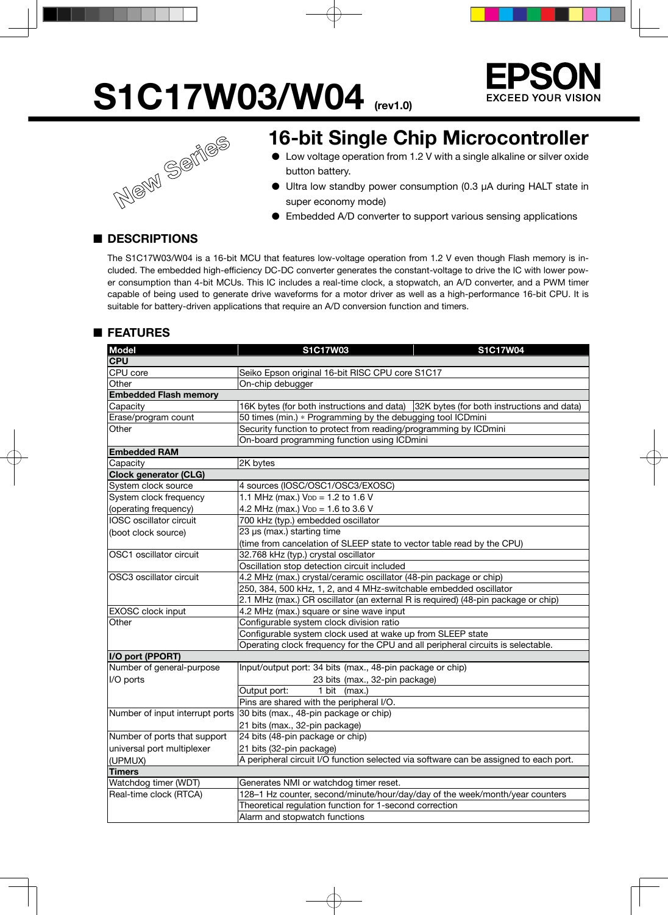# **S1C17W03/W04** (rev1.0)<br>16-bit Single Cl<br>• Low voltage operation from





## **16-bit Single Chip Microcontroller**

- Low voltage operation from 1.2 V with a single alkaline or silver oxide button battery.
- Ultra low standby power consumption (0.3 µA during HALT state in super economy mode)
- Embedded A/D converter to support various sensing applications

## ■ **DESCRIPTIONS**

The S1C17W03/W04 is a 16-bit MCU that features low-voltage operation from 1.2 V even though Flash memory is included. The embedded high-efficiency DC-DC converter generates the constant-voltage to drive the IC with lower power consumption than 4-bit MCUs. This IC includes a real-time clock, a stopwatch, an A/D converter, and a PWM timer capable of being used to generate drive waveforms for a motor driver as well as a high-performance 16-bit CPU. It is suitable for battery-driven applications that require an A/D conversion function and timers.

## ■ **FEATURES**

| <b>Model</b>                    | <b>S1C17W03</b>                                                                       | S1C17W04 |  |  |  |  |
|---------------------------------|---------------------------------------------------------------------------------------|----------|--|--|--|--|
| <b>CPU</b>                      |                                                                                       |          |  |  |  |  |
| CPU core                        | Seiko Epson original 16-bit RISC CPU core S1C17                                       |          |  |  |  |  |
| Other                           | On-chip debugger                                                                      |          |  |  |  |  |
| <b>Embedded Flash memory</b>    |                                                                                       |          |  |  |  |  |
| Capacity                        | 16K bytes (for both instructions and data) 32K bytes (for both instructions and data) |          |  |  |  |  |
| Erase/program count             | 50 times (min.) * Programming by the debugging tool ICDmini                           |          |  |  |  |  |
| Other                           | Security function to protect from reading/programming by ICDmini                      |          |  |  |  |  |
|                                 | On-board programming function using ICDmini                                           |          |  |  |  |  |
| <b>Embedded RAM</b>             |                                                                                       |          |  |  |  |  |
| Capacity                        | 2K bytes                                                                              |          |  |  |  |  |
| <b>Clock generator (CLG)</b>    |                                                                                       |          |  |  |  |  |
| System clock source             | 4 sources (IOSC/OSC1/OSC3/EXOSC)                                                      |          |  |  |  |  |
| System clock frequency          | 1.1 MHz (max.) V <sub>DD</sub> = 1.2 to 1.6 V                                         |          |  |  |  |  |
| (operating frequency)           | 4.2 MHz (max.) $V_{DD} = 1.6$ to 3.6 V                                                |          |  |  |  |  |
| IOSC oscillator circuit         | 700 kHz (typ.) embedded oscillator                                                    |          |  |  |  |  |
| (boot clock source)             | 23 µs (max.) starting time                                                            |          |  |  |  |  |
|                                 | (time from cancelation of SLEEP state to vector table read by the CPU)                |          |  |  |  |  |
| OSC1 oscillator circuit         | 32.768 kHz (typ.) crystal oscillator                                                  |          |  |  |  |  |
|                                 | Oscillation stop detection circuit included                                           |          |  |  |  |  |
| OSC3 oscillator circuit         | 4.2 MHz (max.) crystal/ceramic oscillator (48-pin package or chip)                    |          |  |  |  |  |
|                                 | 250, 384, 500 kHz, 1, 2, and 4 MHz-switchable embedded oscillator                     |          |  |  |  |  |
|                                 | 2.1 MHz (max.) CR oscillator (an external R is required) (48-pin package or chip)     |          |  |  |  |  |
| EXOSC clock input               | 4.2 MHz (max.) square or sine wave input                                              |          |  |  |  |  |
| Other                           | Configurable system clock division ratio                                              |          |  |  |  |  |
|                                 | Configurable system clock used at wake up from SLEEP state                            |          |  |  |  |  |
|                                 | Operating clock frequency for the CPU and all peripheral circuits is selectable.      |          |  |  |  |  |
| I/O port (PPORT)                |                                                                                       |          |  |  |  |  |
| Number of general-purpose       | Input/output port: 34 bits (max., 48-pin package or chip)                             |          |  |  |  |  |
| I/O ports                       | 23 bits (max., 32-pin package)                                                        |          |  |  |  |  |
|                                 | Output port:<br>1 bit (max.)                                                          |          |  |  |  |  |
|                                 | Pins are shared with the peripheral I/O.                                              |          |  |  |  |  |
| Number of input interrupt ports | 30 bits (max., 48-pin package or chip)                                                |          |  |  |  |  |
|                                 | 21 bits (max., 32-pin package)                                                        |          |  |  |  |  |
| Number of ports that support    | 24 bits (48-pin package or chip)                                                      |          |  |  |  |  |
| universal port multiplexer      | 21 bits (32-pin package)                                                              |          |  |  |  |  |
| (UPMUX)                         | A peripheral circuit I/O function selected via software can be assigned to each port. |          |  |  |  |  |
| <b>Timers</b>                   |                                                                                       |          |  |  |  |  |
| Watchdog timer (WDT)            | Generates NMI or watchdog timer reset.                                                |          |  |  |  |  |
| Real-time clock (RTCA)          | 128-1 Hz counter, second/minute/hour/day/day of the week/month/year counters          |          |  |  |  |  |
|                                 | Theoretical regulation function for 1-second correction                               |          |  |  |  |  |
|                                 | Alarm and stopwatch functions                                                         |          |  |  |  |  |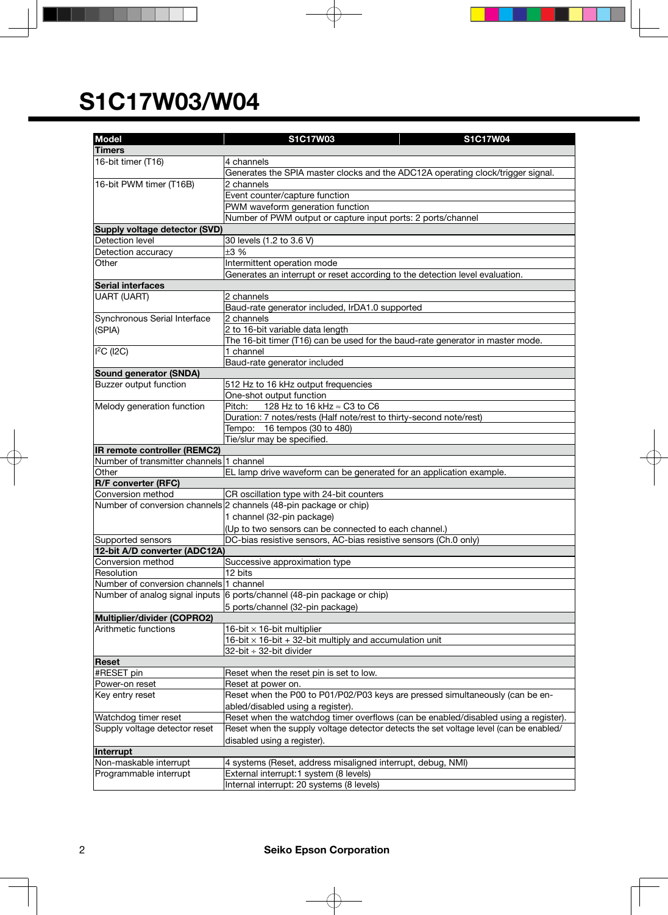| <b>Model</b>                                     | S1C17W03<br>S1C17W04                                                                  |  |  |  |  |  |
|--------------------------------------------------|---------------------------------------------------------------------------------------|--|--|--|--|--|
| <b>Timers</b>                                    |                                                                                       |  |  |  |  |  |
|                                                  |                                                                                       |  |  |  |  |  |
| 16-bit timer (T16)                               | 4 channels                                                                            |  |  |  |  |  |
|                                                  | Generates the SPIA master clocks and the ADC12A operating clock/trigger signal.       |  |  |  |  |  |
| 16-bit PWM timer (T16B)                          | 2 channels                                                                            |  |  |  |  |  |
|                                                  | Event counter/capture function                                                        |  |  |  |  |  |
|                                                  | PWM waveform generation function                                                      |  |  |  |  |  |
|                                                  | Number of PWM output or capture input ports: 2 ports/channel                          |  |  |  |  |  |
| Supply voltage detector (SVD)<br>Detection level |                                                                                       |  |  |  |  |  |
|                                                  | 30 levels (1.2 to 3.6 V)                                                              |  |  |  |  |  |
| Detection accuracy                               | ±3%                                                                                   |  |  |  |  |  |
| Other                                            | Intermittent operation mode                                                           |  |  |  |  |  |
|                                                  | Generates an interrupt or reset according to the detection level evaluation.          |  |  |  |  |  |
| <b>Serial interfaces</b>                         |                                                                                       |  |  |  |  |  |
| UART (UART)                                      | 2 channels                                                                            |  |  |  |  |  |
|                                                  | Baud-rate generator included, IrDA1.0 supported                                       |  |  |  |  |  |
| Synchronous Serial Interface                     | 2 channels                                                                            |  |  |  |  |  |
| (SPIA)                                           | 2 to 16-bit variable data length                                                      |  |  |  |  |  |
|                                                  | The 16-bit timer (T16) can be used for the baud-rate generator in master mode.        |  |  |  |  |  |
| I <sup>2</sup> C (I2C)                           | 1 channel                                                                             |  |  |  |  |  |
|                                                  | Baud-rate generator included                                                          |  |  |  |  |  |
| Sound generator (SNDA)                           |                                                                                       |  |  |  |  |  |
| Buzzer output function                           | 512 Hz to 16 kHz output frequencies                                                   |  |  |  |  |  |
|                                                  | One-shot output function                                                              |  |  |  |  |  |
| Melody generation function                       | 128 Hz to 16 kHz ≈ C3 to C6<br>Pitch:                                                 |  |  |  |  |  |
|                                                  | Duration: 7 notes/rests (Half note/rest to thirty-second note/rest)                   |  |  |  |  |  |
|                                                  | Tempo: 16 tempos (30 to 480)                                                          |  |  |  |  |  |
|                                                  | Tie/slur may be specified.                                                            |  |  |  |  |  |
| IR remote controller (REMC2)                     |                                                                                       |  |  |  |  |  |
| Number of transmitter channels 1 channel         |                                                                                       |  |  |  |  |  |
| Other                                            | EL lamp drive waveform can be generated for an application example.                   |  |  |  |  |  |
| <b>R/F converter (RFC)</b>                       |                                                                                       |  |  |  |  |  |
| Conversion method                                | CR oscillation type with 24-bit counters                                              |  |  |  |  |  |
|                                                  | Number of conversion channels 2 channels (48-pin package or chip)                     |  |  |  |  |  |
|                                                  | 1 channel (32-pin package)                                                            |  |  |  |  |  |
|                                                  | (Up to two sensors can be connected to each channel.)                                 |  |  |  |  |  |
| Supported sensors                                | DC-bias resistive sensors, AC-bias resistive sensors (Ch.0 only)                      |  |  |  |  |  |
| 12-bit A/D converter (ADC12A)                    |                                                                                       |  |  |  |  |  |
| Conversion method                                | Successive approximation type                                                         |  |  |  |  |  |
| Resolution                                       | 12 bits                                                                               |  |  |  |  |  |
| Number of conversion channels 1 channel          |                                                                                       |  |  |  |  |  |
|                                                  | Number of analog signal inputs 6 ports/channel (48-pin package or chip)               |  |  |  |  |  |
|                                                  | 5 ports/channel (32-pin package)                                                      |  |  |  |  |  |
| Multiplier/divider (COPRO2)                      |                                                                                       |  |  |  |  |  |
| Arithmetic functions                             | 16-bit $\times$ 16-bit multiplier                                                     |  |  |  |  |  |
|                                                  | 16-bit $\times$ 16-bit + 32-bit multiply and accumulation unit                        |  |  |  |  |  |
|                                                  | 32-bit ÷ 32-bit divider                                                               |  |  |  |  |  |
| Reset                                            |                                                                                       |  |  |  |  |  |
| #RESET pin                                       | Reset when the reset pin is set to low.                                               |  |  |  |  |  |
| Power-on reset                                   | Reset at power on.                                                                    |  |  |  |  |  |
| Key entry reset                                  | Reset when the P00 to P01/P02/P03 keys are pressed simultaneously (can be en-         |  |  |  |  |  |
|                                                  | abled/disabled using a register).                                                     |  |  |  |  |  |
| Watchdog timer reset                             | Reset when the watchdog timer overflows (can be enabled/disabled using a register).   |  |  |  |  |  |
| Supply voltage detector reset                    | Reset when the supply voltage detector detects the set voltage level (can be enabled/ |  |  |  |  |  |
|                                                  | disabled using a register).                                                           |  |  |  |  |  |
| Interrupt                                        |                                                                                       |  |  |  |  |  |
| Non-maskable interrupt                           | 4 systems (Reset, address misaligned interrupt, debug, NMI)                           |  |  |  |  |  |
| Programmable interrupt                           | External interrupt:1 system (8 levels)                                                |  |  |  |  |  |
|                                                  | Internal interrupt: 20 systems (8 levels)                                             |  |  |  |  |  |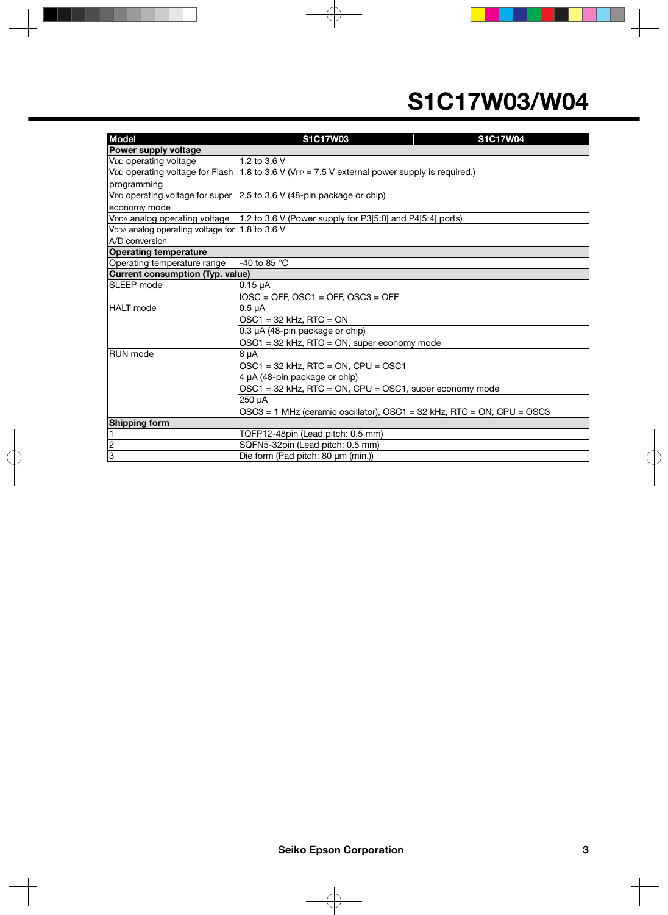| <b>Model</b>                                               | S1C17W03<br>S1C17W04                                                                                      |  |  |  |  |  |
|------------------------------------------------------------|-----------------------------------------------------------------------------------------------------------|--|--|--|--|--|
| Power supply voltage                                       |                                                                                                           |  |  |  |  |  |
| V <sub>DD</sub> operating voltage                          | 1.2 to 3.6 V                                                                                              |  |  |  |  |  |
|                                                            | V <sub>DD</sub> operating voltage for Flash 1.8 to 3.6 V (VPP = 7.5 V external power supply is required.) |  |  |  |  |  |
| programming                                                |                                                                                                           |  |  |  |  |  |
|                                                            | V <sub>DD</sub> operating voltage for super $\vert$ 2.5 to 3.6 V (48-pin package or chip)                 |  |  |  |  |  |
| economy mode                                               |                                                                                                           |  |  |  |  |  |
|                                                            | VDDA analog operating voltage   1.2 to 3.6 V (Power supply for P3[5:0] and P4[5:4] ports)                 |  |  |  |  |  |
| V <sub>DDA</sub> analog operating voltage for 1.8 to 3.6 V |                                                                                                           |  |  |  |  |  |
| A/D conversion                                             |                                                                                                           |  |  |  |  |  |
| <b>Operating temperature</b>                               |                                                                                                           |  |  |  |  |  |
| Operating temperature range                                | -40 to 85 $^{\circ}$ C                                                                                    |  |  |  |  |  |
| Current consumption (Typ. value)                           |                                                                                                           |  |  |  |  |  |
| <b>SLEEP</b> mode                                          | $0.15 \mu A$                                                                                              |  |  |  |  |  |
|                                                            | $IOSC = OFF$ , $OSC1 = OFF$ , $OSC3 = OFF$                                                                |  |  |  |  |  |
| HALT mode                                                  | $0.5 \mu A$                                                                                               |  |  |  |  |  |
|                                                            | $OSC1 = 32$ kHz, RTC = ON                                                                                 |  |  |  |  |  |
|                                                            | 0.3 µA (48-pin package or chip)                                                                           |  |  |  |  |  |
|                                                            | $OSC1 = 32$ kHz, RTC = ON, super economy mode                                                             |  |  |  |  |  |
| <b>RUN</b> mode                                            | 8 µA                                                                                                      |  |  |  |  |  |
|                                                            | $OSC1 = 32$ kHz, RTC = ON, CPU = OSC1                                                                     |  |  |  |  |  |
|                                                            | 4 µA (48-pin package or chip)                                                                             |  |  |  |  |  |
|                                                            | OSC1 = 32 kHz, RTC = ON, CPU = OSC1, super economy mode                                                   |  |  |  |  |  |
|                                                            | 250 µA                                                                                                    |  |  |  |  |  |
|                                                            | OSC3 = 1 MHz (ceramic oscillator), OSC1 = 32 kHz, RTC = ON, CPU = OSC3                                    |  |  |  |  |  |
| <b>Shipping form</b>                                       |                                                                                                           |  |  |  |  |  |
| 1                                                          | TQFP12-48pin (Lead pitch: 0.5 mm)                                                                         |  |  |  |  |  |
| $\overline{\mathbf{c}}$                                    | SQFN5-32pin (Lead pitch: 0.5 mm)                                                                          |  |  |  |  |  |
| $\overline{3}$                                             | Die form (Pad pitch: 80 µm (min.))                                                                        |  |  |  |  |  |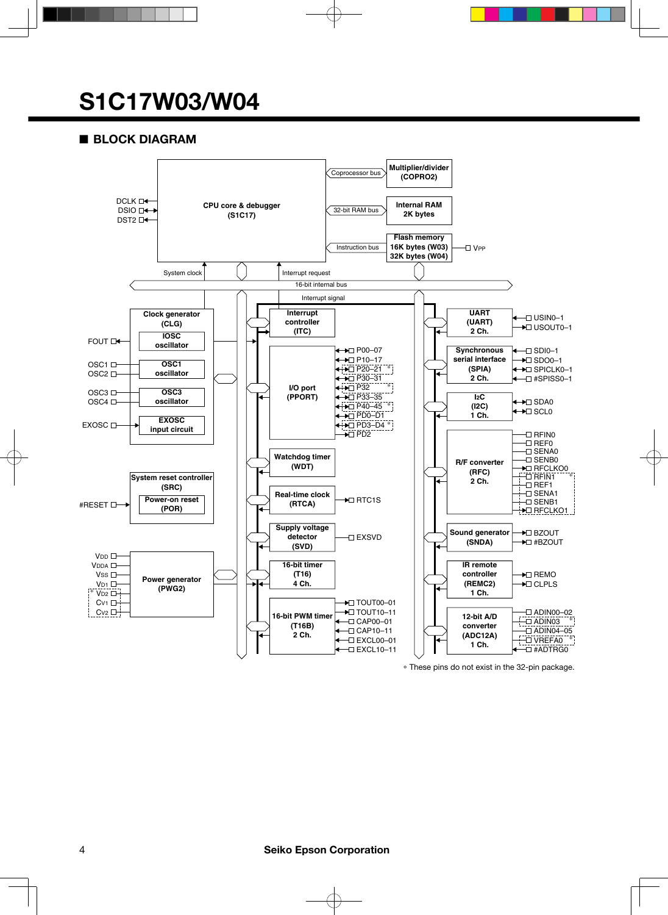## ■ **BLOCK DIAGRAM**



\* These pins do not exist in the 32-pin package.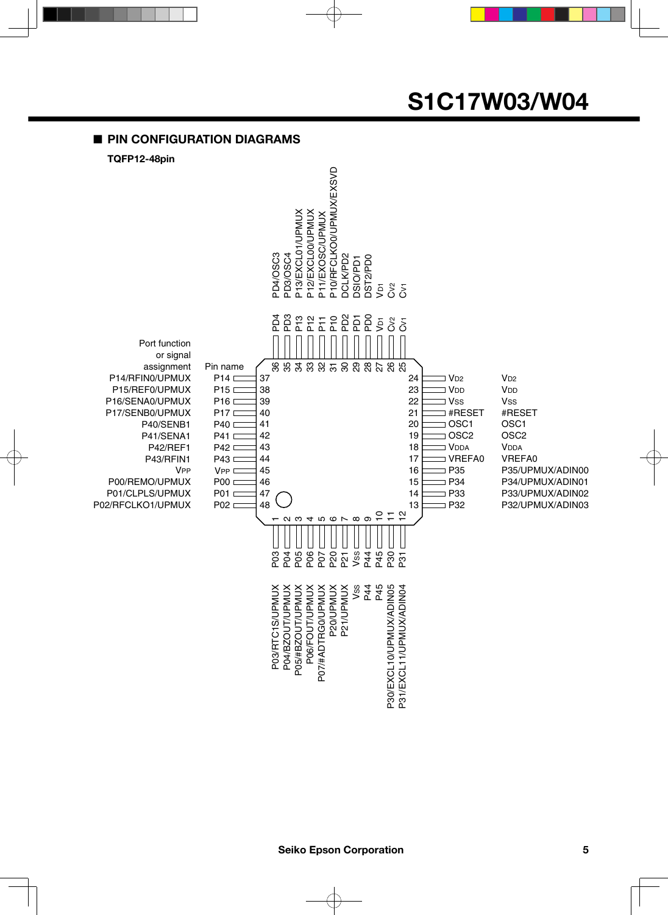## ■ **PIN CONFIGURATION DIAGRAMS**

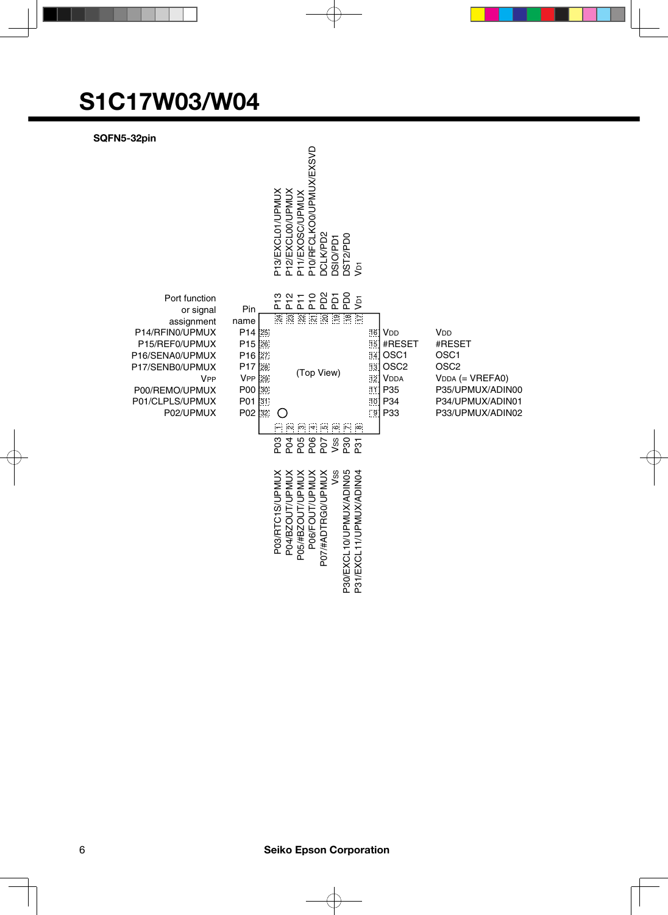**SQFN5-32pin**

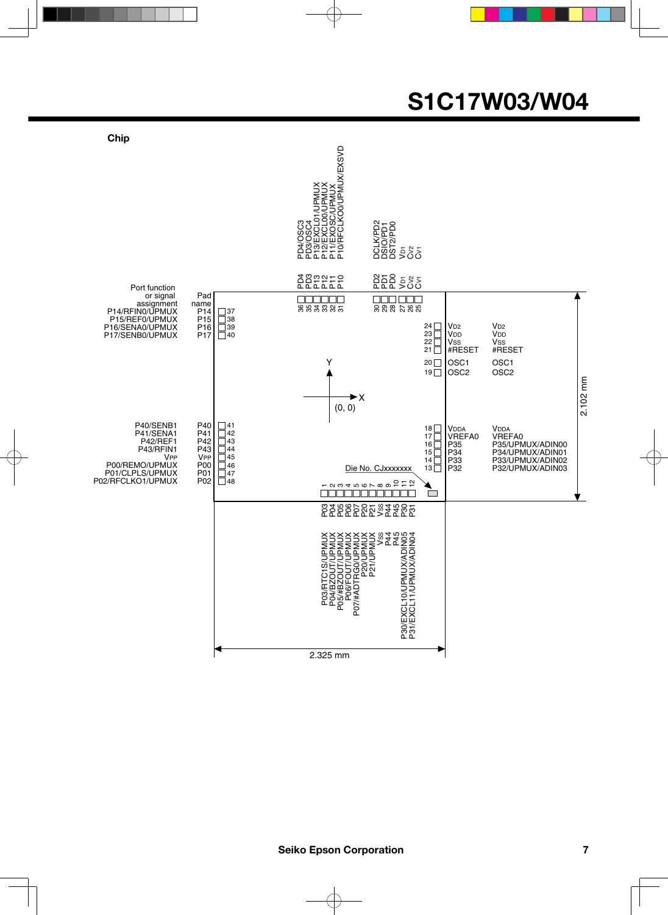

**Seiko Epson Corporation 7**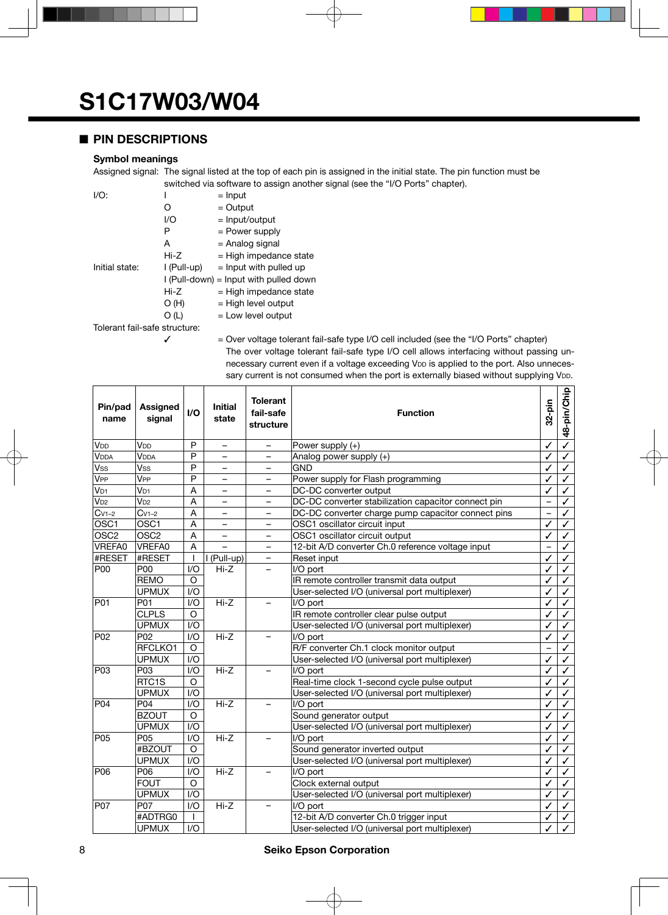## ■ **PIN DESCRIPTIONS**

#### **Symbol meanings**

Assigned signal: The signal listed at the top of each pin is assigned in the initial state. The pin function must be switched via software to assign another signal (see the "I/O Ports" chapter).

| I/O:                          |             | $=$ Input                                |
|-------------------------------|-------------|------------------------------------------|
|                               | O           | $=$ Output                               |
|                               | I/O         | = Input/output                           |
|                               | Р           | $=$ Power supply                         |
|                               | A           | = Analog signal                          |
|                               | Hi-Z        | $=$ High impedance state                 |
| Initial state:                | l (Pull-up) | $=$ Input with pulled up                 |
|                               |             | $I$ (Pull-down) = lnput with pulled down |
|                               | $Hi-Z$      | $=$ High impedance state                 |
|                               | O(H)        | $=$ High level output                    |
|                               | O (L)       | $=$ Low level output                     |
| Tolerant fail-safe structure: |             |                                          |
|                               |             | حة المتحدة حاجة المتحدة المتحدة وكانت    |

 $\checkmark$  = Over voltage tolerant fail-safe type I/O cell included (see the "I/O Ports" chapter) The over voltage tolerant fail-safe type I/O cell allows interfacing without passing unnecessary current even if a voltage exceeding VDD is applied to the port. Also unnecessary current is not consumed when the port is externally biased without supplying V<sub>DD</sub>.

| Pin/pad<br>name           | <b>Assigned</b><br>signal | $l/O$                   | <b>Initial</b><br>state  | <b>Tolerant</b><br>fail-safe<br>structure | <b>Function</b>                                     |                          | 48-pin/Chip             |
|---------------------------|---------------------------|-------------------------|--------------------------|-------------------------------------------|-----------------------------------------------------|--------------------------|-------------------------|
| V <sub>DD</sub>           | V <sub>DD</sub>           | P                       | $\overline{\phantom{0}}$ |                                           | Power supply (+)                                    | ✓                        | $\overline{\checkmark}$ |
| <b>VDDA</b>               | <b>VDDA</b>               | P                       | $\overline{\phantom{0}}$ | $\equiv$                                  | Analog power supply (+)                             | ✓                        | ✓                       |
| $\overline{\mathsf{Vss}}$ | Vss                       | P                       |                          | $\overline{\phantom{0}}$                  | <b>GND</b>                                          | ✓                        | ✓                       |
| <b>V<sub>PP</sub></b>     | V <sub>PP</sub>           | P                       | $\equiv$                 | $\equiv$                                  | Power supply for Flash programming                  | ✓                        | ✓                       |
| V <sub>D1</sub>           | V <sub>D1</sub>           | A                       | $\overline{\phantom{0}}$ | $\overline{\phantom{0}}$                  | DC-DC converter output                              | ✓                        | ✓                       |
| $V_{D2}$                  | $V_{D2}$                  | A                       | $\qquad \qquad -$        | $\overline{\phantom{0}}$                  | DC-DC converter stabilization capacitor connect pin | $\overline{\phantom{0}}$ | ✓                       |
| $Cv1-2$                   | $Cv1-2$                   | A                       | $\overline{\phantom{0}}$ | $\overline{\phantom{0}}$                  | DC-DC converter charge pump capacitor connect pins  | $\overline{\phantom{0}}$ | ✓                       |
| OSC <sub>1</sub>          | OSC1                      | A                       |                          | $\overline{\phantom{0}}$                  | OSC1 oscillator circuit input                       | ✓                        | ✓                       |
| OSC <sub>2</sub>          | OSC <sub>2</sub>          | $\overline{\mathsf{A}}$ | $\overline{\phantom{0}}$ | $\overline{\phantom{0}}$                  | OSC1 oscillator circuit output                      | ✓                        | $\checkmark$            |
| VREFA0                    | VREFA0                    | A                       |                          | $\overline{\phantom{0}}$                  | 12-bit A/D converter Ch.0 reference voltage input   | $\overline{\phantom{0}}$ | ✓                       |
| #RESET                    | #RESET                    |                         | I (Pull-up)              | $\overline{\phantom{0}}$                  | Reset input                                         | ✓                        | $\checkmark$            |
| P00                       | P00                       | 1/O                     | $Hi-Z$                   |                                           | I/O port                                            | ✓                        | ✓                       |
|                           | <b>REMO</b>               | $\circ$                 |                          |                                           | IR remote controller transmit data output           | ✓                        | ✓                       |
|                           | <b>UPMUX</b>              | 1/O                     |                          |                                           | User-selected I/O (universal port multiplexer)      | ✓                        | ✓                       |
| P01                       | P01                       | 1/O                     | $Hi-Z$                   | $\overline{\phantom{0}}$                  | I/O port                                            | ✓                        | ✓                       |
|                           | <b>CLPLS</b>              | O                       |                          |                                           | IR remote controller clear pulse output             | ✓                        | ✓                       |
|                           | <b>UPMUX</b>              | 1/O                     |                          |                                           | User-selected I/O (universal port multiplexer)      | ✓                        | ✓                       |
| P02                       | P <sub>02</sub>           | 1/O                     | $Hi-Z$                   | I/O port                                  |                                                     | ✓                        | ✓                       |
|                           | RFCLKO1                   | $\circ$                 |                          |                                           | R/F converter Ch.1 clock monitor output             | $\overline{\phantom{0}}$ | ✓                       |
|                           | <b>UPMUX</b>              | 1/O                     |                          |                                           | User-selected I/O (universal port multiplexer)      | $\checkmark$             | ✓                       |
| P03                       | P03                       | 1/O                     | $Hi-Z$                   | $\overline{\phantom{0}}$                  | I/O port                                            | ✓                        | ✓                       |
|                           | RTC1S                     | O                       |                          |                                           | Real-time clock 1-second cycle pulse output         | ✓                        | ✓                       |
|                           | <b>UPMUX</b>              | 1/O                     |                          |                                           | User-selected I/O (universal port multiplexer)      | ✓                        | ✓                       |
| P04                       | P04                       | 1/O                     | $Hi-Z$                   | $\overline{\phantom{0}}$                  | I/O port                                            | ✓                        | ✓                       |
|                           | <b>BZOUT</b>              | O                       |                          |                                           | Sound generator output                              | ✓                        | $\checkmark$            |
|                           | <b>UPMUX</b>              | 1/O                     |                          |                                           | User-selected I/O (universal port multiplexer)      | ✓                        | ✓                       |
| P05                       | P05                       | 1/O                     | $Hi-Z$                   | $\overline{\phantom{0}}$                  | I/O port                                            | ✓                        | $\checkmark$            |
|                           | #BZOUT                    | $\circ$                 |                          |                                           | Sound generator inverted output                     | ✓                        | ✓                       |
|                           | <b>UPMUX</b>              | 1/O                     |                          |                                           | User-selected I/O (universal port multiplexer)      | ✓                        | ✓                       |
| P06                       | P06                       | 1/O                     | $Hi-Z$                   | $\overline{\phantom{0}}$                  | I/O port                                            | ✓                        | ✓                       |
|                           | <b>FOUT</b>               | O                       |                          |                                           | Clock external output                               | ✓                        | ✓                       |
|                           | <b>UPMUX</b>              | 1/O                     |                          |                                           | User-selected I/O (universal port multiplexer)      | ✓                        | ✓                       |
| P07                       | P07                       | 1/O                     | $Hi-Z$                   |                                           | I/O port                                            | ✓                        | ✓                       |
|                           | #ADTRG0                   | $\mathbf{I}$            |                          |                                           | 12-bit A/D converter Ch.0 trigger input             | ✓                        | ✓                       |
|                           | <b>UPMUX</b>              | $\overline{1/O}$        |                          |                                           | User-selected I/O (universal port multiplexer)      |                          |                         |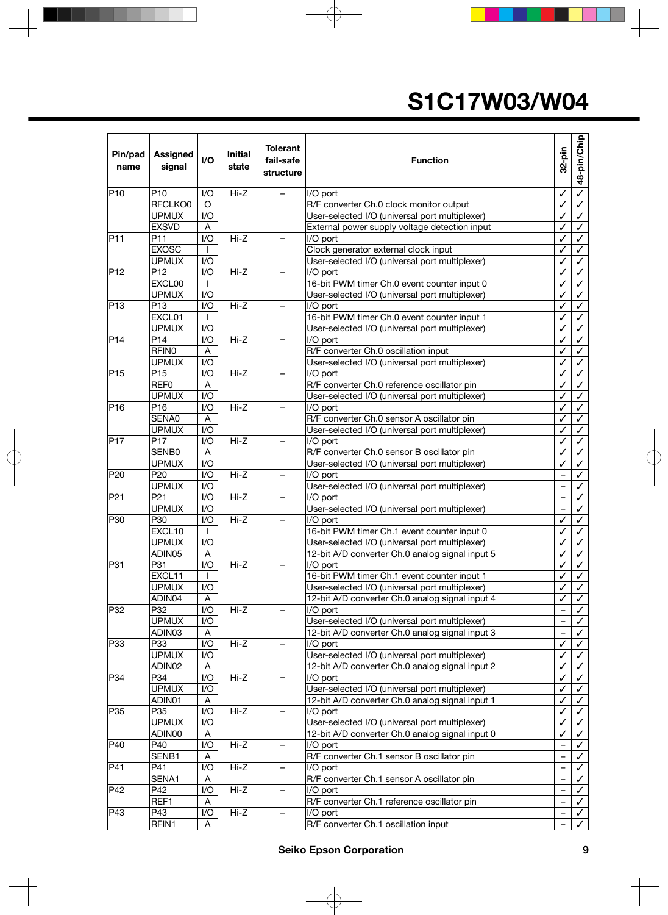| Pin/pad<br>name  | <b>Assigned</b><br>signal | I/O          | <b>Initial</b><br>state | <b>Tolerant</b><br>fail-safe<br>structure | <b>Function</b>                                         |                          | 48-pin/Chip<br>32-pin        |                              |
|------------------|---------------------------|--------------|-------------------------|-------------------------------------------|---------------------------------------------------------|--------------------------|------------------------------|------------------------------|
| P <sub>10</sub>  | P10                       | I/O          | $Hi-Z$                  |                                           | I/O port                                                | ✓                        | $\overline{\checkmark}$      |                              |
|                  | RFCLKO0                   | O            |                         |                                           | R/F converter Ch.0 clock monitor output                 | ✓                        | $\checkmark$                 |                              |
|                  | <b>UPMUX</b>              | 1/O          |                         |                                           | User-selected I/O (universal port multiplexer)          | ✓                        | $\checkmark$                 |                              |
|                  | <b>EXSVD</b>              | A            |                         |                                           | External power supply voltage detection input           | ✓                        | $\checkmark$                 |                              |
| P11              | P11                       | 1/O          | $Hi-Z$                  | $\overline{\phantom{0}}$                  | I/O port                                                | ✓                        | $\checkmark$                 |                              |
|                  | <b>EXOSC</b>              | $\mathbf{I}$ |                         |                                           | Clock generator external clock input                    |                          | $\checkmark$                 |                              |
|                  | <b>UPMUX</b>              | I/O          |                         |                                           | User-selected I/O (universal port multiplexer)          |                          | $\checkmark$                 |                              |
| P <sub>12</sub>  | P <sub>12</sub>           | I/O          | $Hi-Z$                  | $\overline{\phantom{0}}$                  | I/O port                                                | ✓                        | $\checkmark$                 |                              |
|                  | EXCL00                    | $\mathbf{I}$ |                         |                                           | 16-bit PWM timer Ch.0 event counter input 0             | ✓<br>✓                   | $\checkmark$                 |                              |
|                  | <b>UPMUX</b>              | I/O          |                         |                                           | User-selected I/O (universal port multiplexer)          |                          | $\checkmark$                 |                              |
| P13              | P <sub>13</sub>           | I/O          | $Hi-Z$                  |                                           | I/O port                                                | ✓                        | $\checkmark$                 |                              |
|                  | EXCL01                    |              |                         |                                           | 16-bit PWM timer Ch.0 event counter input 1             | ✓                        | $\checkmark$                 |                              |
|                  | <b>UPMUX</b>              | 1/O          |                         |                                           | User-selected I/O (universal port multiplexer)          | ✓                        | $\checkmark$                 |                              |
| $\overline{P}14$ | P <sub>14</sub>           | I/O          | $Hi-Z$                  | $\overline{\phantom{0}}$                  | I/O port                                                | ✓                        | $\checkmark$                 |                              |
|                  | <b>RFIN0</b>              | A            |                         |                                           | R/F converter Ch.0 oscillation input                    | ✓                        | $\checkmark$                 |                              |
|                  | <b>UPMUX</b>              | I/O          |                         |                                           | User-selected I/O (universal port multiplexer)          | ✓                        | $\checkmark$                 |                              |
| PI5              | P <sub>15</sub>           | I/O          | $Hi-Z$                  | $\overline{\phantom{0}}$                  | I/O port                                                | ✓                        | $\checkmark$                 |                              |
|                  | REF <sub>0</sub>          | Α            |                         |                                           | R/F converter Ch.0 reference oscillator pin             | ✓                        | $\checkmark$                 |                              |
|                  | <b>UPMUX</b>              | I/O          |                         |                                           | User-selected I/O (universal port multiplexer)          | ✓                        | $\checkmark$                 |                              |
| P <sub>16</sub>  | P16                       | I/O          | $Hi-Z$                  |                                           | I/O port                                                | ✓                        | $\checkmark$                 |                              |
|                  | SENA0                     | A            |                         |                                           | R/F converter Ch.0 sensor A oscillator pin              | ✓                        | $\checkmark$                 |                              |
|                  | <b>UPMUX</b>              | 1/O          |                         |                                           | User-selected I/O (universal port multiplexer)          | $\checkmark$             | $\checkmark$                 |                              |
| P <sub>17</sub>  | P <sub>17</sub>           | I/O          | $Hi-Z$                  | $\overline{\phantom{0}}$                  | I/O port                                                | $\checkmark$             | $\checkmark$                 |                              |
|                  | SENB0                     | Α            |                         |                                           | R/F converter Ch.0 sensor B oscillator pin              | ✓                        |                              | $\checkmark$                 |
|                  | <b>UPMUX</b>              | I/O          |                         |                                           | User-selected I/O (universal port multiplexer)          | ✓                        | $\checkmark$                 |                              |
| P20              | P <sub>20</sub>           | I/O          | $Hi-Z$                  |                                           | I/O port                                                | $\overline{\phantom{0}}$ | $\checkmark$                 |                              |
|                  | <b>UPMUX</b>              | I/O          |                         |                                           | User-selected I/O (universal port multiplexer)          | $\qquad \qquad -$        | $\checkmark$                 |                              |
| P21              | P <sub>21</sub>           | I/O          | $Hi-Z$                  |                                           | I/O port                                                |                          | $\checkmark$                 |                              |
|                  | <b>UPMUX</b>              | 1/O          |                         |                                           | User-selected I/O (universal port multiplexer)          |                          | $\checkmark$                 |                              |
| P30              | P30                       | I/O          | $Hi-Z$                  | $\overline{\phantom{0}}$                  | I/O port                                                | $\checkmark$             | $\checkmark$                 |                              |
|                  | EXCL10                    | $\mathbf{I}$ |                         |                                           | 16-bit PWM timer Ch.1 event counter input 0             | ✓                        | $\checkmark$                 |                              |
|                  | <b>UPMUX</b>              | 1/O          |                         |                                           | User-selected I/O (universal port multiplexer)          | ✓                        | $\checkmark$                 |                              |
|                  | ADIN05                    | A<br>I/O     | $Hi-Z$                  |                                           | 12-bit A/D converter Ch.0 analog signal input 5         | ✓                        |                              | $\checkmark$                 |
| P31              | P31<br>EXCL11             |              |                         |                                           | I/O port<br>16-bit PWM timer Ch.1 event counter input 1 | ✓<br>✓                   | $\checkmark$<br>$\checkmark$ |                              |
|                  | <b>UPMUX</b>              | I/O          |                         |                                           | User-selected I/O (universal port multiplexer)          | ✓                        |                              |                              |
|                  | ADIN04                    | A            |                         |                                           | 12-bit A/D converter Ch.0 analog signal input 4         | ✓                        |                              | $\checkmark$<br>$\checkmark$ |
| P32              | P32                       | I/O          | $Hi-Z$                  | $\overline{\phantom{0}}$                  | I/O port                                                |                          |                              | $\checkmark$                 |
|                  | <b>UPMUX</b>              | I/O          |                         |                                           | User-selected I/O (universal port multiplexer)          | $\overline{\phantom{0}}$ | $\checkmark$                 |                              |
|                  | ADIN03                    | Α            |                         |                                           | 12-bit A/D converter Ch.0 analog signal input 3         | $\qquad \qquad -$        | $\checkmark$                 |                              |
| P33              | P33                       | I/O          | $Hi-Z$                  | $\overline{\phantom{0}}$                  | I/O port                                                | $\checkmark$             | $\checkmark$                 |                              |
|                  | <b>UPMUX</b>              | I/O          |                         |                                           | User-selected I/O (universal port multiplexer)          | ✓                        | $\checkmark$                 |                              |
|                  | ADIN02                    | Α            |                         |                                           | 12-bit A/D converter Ch.0 analog signal input 2         | ✓                        | $\checkmark$                 |                              |
| P34              | P34                       | I/O          | Hi-Z                    |                                           | I/O port                                                | ✓                        | $\checkmark$                 |                              |
|                  | <b>UPMUX</b>              | I/O          |                         |                                           | User-selected I/O (universal port multiplexer)          | ✓                        | $\checkmark$                 |                              |
|                  | ADIN01                    | A            |                         |                                           | 12-bit A/D converter Ch.0 analog signal input 1         | ✓                        | $\checkmark$                 |                              |
| P35              | P35                       | I/O          | Hi-Z                    | $\overline{\phantom{0}}$                  | I/O port                                                | $\checkmark$             | $\checkmark$                 |                              |
|                  | <b>UPMUX</b>              | I/O          |                         |                                           | User-selected I/O (universal port multiplexer)          | ✓                        | $\checkmark$                 |                              |
|                  | ADIN00                    | A            |                         |                                           | 12-bit A/D converter Ch.0 analog signal input 0         | ✓                        |                              | ✓                            |
| P40              | P40                       | I/O          | Hi-Z                    | $\overline{\phantom{0}}$                  | I/O port                                                |                          | ✓                            |                              |
|                  | SENB1                     | A            |                         |                                           | R/F converter Ch.1 sensor B oscillator pin              | $\overline{\phantom{0}}$ | ✓                            |                              |
| P41              | P41                       | I/O          | Hi-Z                    |                                           | I/O port                                                | $\overline{\phantom{0}}$ | $\checkmark$                 |                              |
|                  | SENA1                     | Α            |                         |                                           | R/F converter Ch.1 sensor A oscillator pin              |                          | ✓                            |                              |
| P42              | P42                       | I/O          | $Hi-Z$                  | $\overline{\phantom{0}}$                  | I/O port                                                |                          | $\checkmark$                 |                              |
|                  | REF1                      | Α            |                         |                                           | R/F converter Ch.1 reference oscillator pin             | $\equiv$                 | $\checkmark$                 |                              |
| P43              | P43                       | I/O          | Hi-Z                    | -                                         | I/O port                                                | $\qquad \qquad -$        | $\checkmark$                 |                              |
|                  | RFIN1                     | A            |                         |                                           | R/F converter Ch.1 oscillation input                    |                          |                              | $\checkmark$                 |